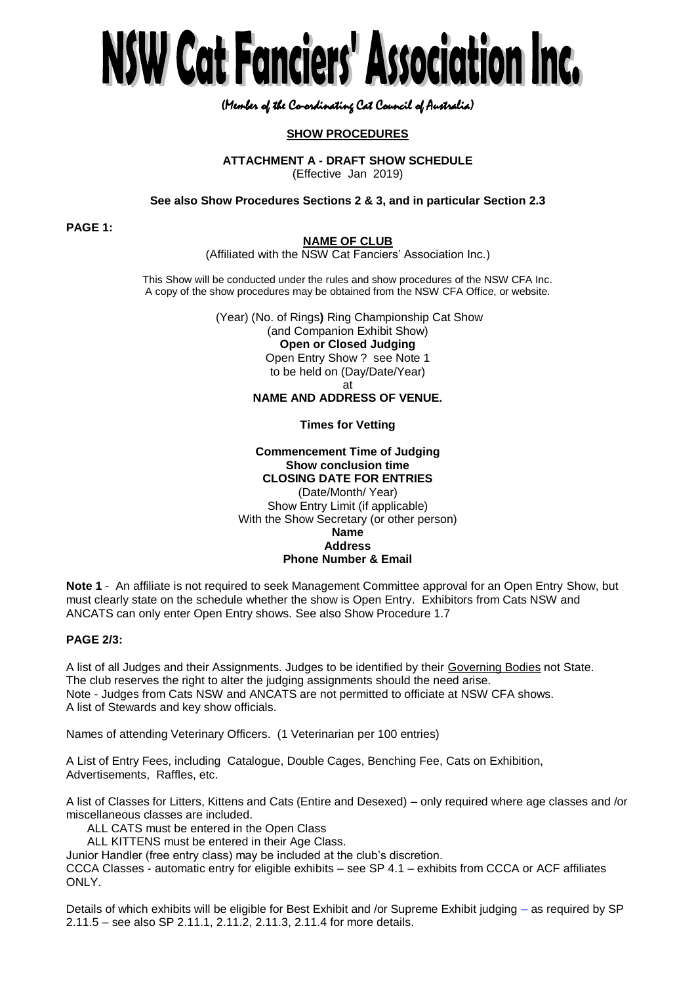

# (Member of the Co-ordinating Cat Council of Australia)

# **SHOW PROCEDURES**

**ATTACHMENT A - DRAFT SHOW SCHEDULE**

(Effective Jan 2019)

**See also Show Procedures Sections 2 & 3, and in particular Section 2.3**

**PAGE 1:**

# **NAME OF CLUB**

(Affiliated with the NSW Cat Fanciers' Association Inc.)

This Show will be conducted under the rules and show procedures of the NSW CFA Inc. A copy of the show procedures may be obtained from the NSW CFA Office, or website.

> (Year) (No. of Rings**)** Ring Championship Cat Show (and Companion Exhibit Show) **Open or Closed Judging** Open Entry Show ? see Note 1 to be held on (Day/Date/Year) at

# **NAME AND ADDRESS OF VENUE.**

## **Times for Vetting**

# **Commencement Time of Judging Show conclusion time CLOSING DATE FOR ENTRIES**

(Date/Month/ Year) Show Entry Limit (if applicable) With the Show Secretary (or other person) **Name Address Phone Number & Email**

**Note 1** - An affiliate is not required to seek Management Committee approval for an Open Entry Show, but must clearly state on the schedule whether the show is Open Entry. Exhibitors from Cats NSW and ANCATS can only enter Open Entry shows. See also Show Procedure 1.7

### **PAGE 2/3:**

A list of all Judges and their Assignments. Judges to be identified by their Governing Bodies not State. The club reserves the right to alter the judging assignments should the need arise. Note - Judges from Cats NSW and ANCATS are not permitted to officiate at NSW CFA shows. A list of Stewards and key show officials.

Names of attending Veterinary Officers. (1 Veterinarian per 100 entries)

A List of Entry Fees, including Catalogue, Double Cages, Benching Fee, Cats on Exhibition, Advertisements, Raffles, etc.

A list of Classes for Litters, Kittens and Cats (Entire and Desexed) – only required where age classes and /or miscellaneous classes are included.

ALL CATS must be entered in the Open Class

ALL KITTENS must be entered in their Age Class.

Junior Handler (free entry class) may be included at the club's discretion.

CCCA Classes - automatic entry for eligible exhibits – see SP 4.1 – exhibits from CCCA or ACF affiliates ONLY.

Details of which exhibits will be eligible for Best Exhibit and /or Supreme Exhibit judging – as required by SP 2.11.5 – see also SP 2.11.1, 2.11.2, 2.11.3, 2.11.4 for more details.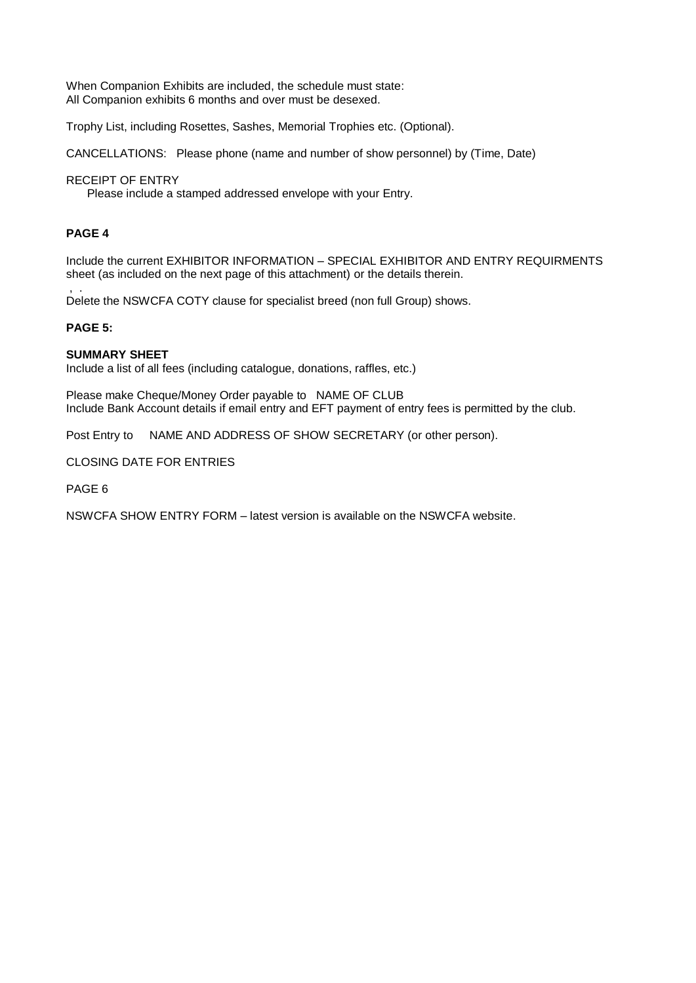When Companion Exhibits are included, the schedule must state: All Companion exhibits 6 months and over must be desexed.

Trophy List, including Rosettes, Sashes, Memorial Trophies etc. (Optional).

CANCELLATIONS: Please phone (name and number of show personnel) by (Time, Date)

# RECEIPT OF ENTRY

Please include a stamped addressed envelope with your Entry.

# **PAGE 4**

Include the current EXHIBITOR INFORMATION – SPECIAL EXHIBITOR AND ENTRY REQUIRMENTS sheet (as included on the next page of this attachment) or the details therein.

, . Delete the NSWCFA COTY clause for specialist breed (non full Group) shows.

## **PAGE 5:**

## **SUMMARY SHEET**

Include a list of all fees (including catalogue, donations, raffles, etc.)

Please make Cheque/Money Order payable to NAME OF CLUB Include Bank Account details if email entry and EFT payment of entry fees is permitted by the club.

Post Entry to NAME AND ADDRESS OF SHOW SECRETARY (or other person).

# CLOSING DATE FOR ENTRIES

PAGE 6

NSWCFA SHOW ENTRY FORM – latest version is available on the NSWCFA website.